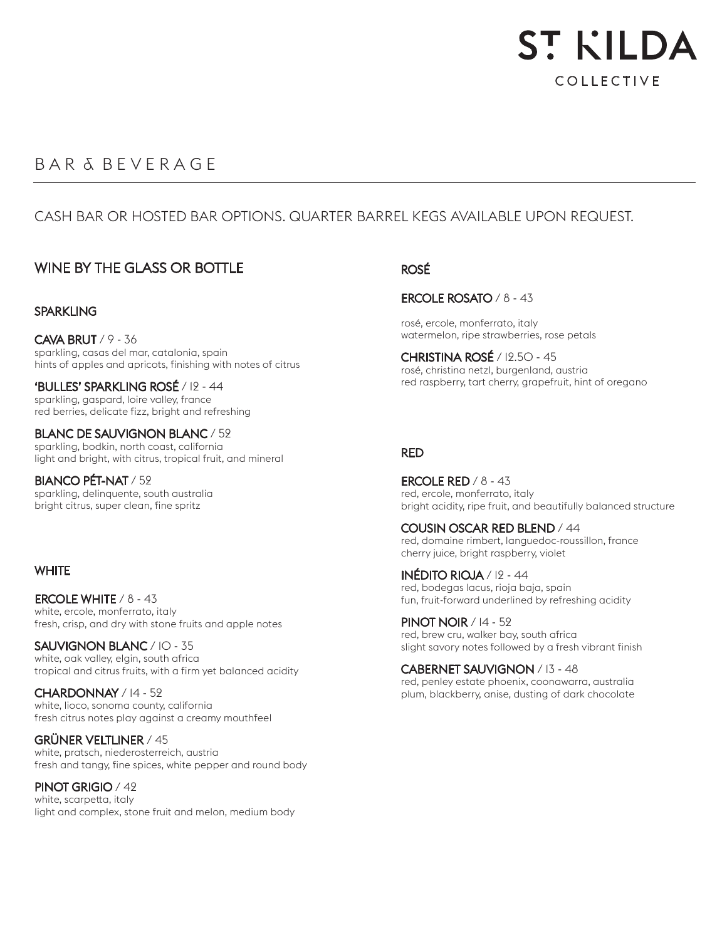

# B A R & B E V E R A G E

## CASH BAR OR HOSTED BAR OPTIONS. QUARTER BARREL KEGS AVAILABLE UPON REQUEST.

## WINE BY THE GLASS OR BOTTLE

#### **SPARKLING**

CAVA BRUT / 9 - 36 sparkling, casas del mar, catalonia, spain hints of apples and apricots, finishing with notes of citrus

'BULLES' SPARKLING ROSÉ / 12 - 44 sparkling, gaspard, loire valley, france red berries, delicate fizz, bright and refreshing

BLANC DE SAUVIGNON BLANC / 52 sparkling, bodkin, north coast, california light and bright, with citrus, tropical fruit, and mineral

BIANCO PÉT-NAT / 52 sparkling, delinquente, south australia bright citrus, super clean, fine spritz

#### **WHITE**

ERCOLE WHITE / 8 - 43 white, ercole, monferrato, italy fresh, crisp, and dry with stone fruits and apple notes

SAUVIGNON BLANC / 10 - 35 white, oak valley, elgin, south africa tropical and citrus fruits, with a firm yet balanced acidity

CHARDONNAY / 14 - 52 white, lioco, sonoma county, california fresh citrus notes play against a creamy mouthfeel

GRÜNER VELTLINER / 45 white, pratsch, niederosterreich, austria fresh and tangy, fine spices, white pepper and round body

PINOT GRIGIO / 42 white, scarpetta, italy light and complex, stone fruit and melon, medium body

## ROSÉ

ERCOLE ROSATO / 8 - 43

rosé, ercole, monferrato, italy watermelon, ripe strawberries, rose petals

CHRISTINA ROSÉ / 12.50 - 45 rosé, christina netzl, burgenland, austria red raspberry, tart cherry, grapefruit, hint of oregano

#### RED

ERCOLE RED / 8 - 43 red, ercole, monferrato, italy bright acidity, ripe fruit, and beautifully balanced structure

COUSIN OSCAR RED BLEND / 44 red, domaine rimbert, languedoc-roussillon, france cherry juice, bright raspberry, violet

INÉDITO RIOJA / 12 - 44 red, bodegas lacus, rioja baja, spain fun, fruit-forward underlined by refreshing acidity

PINOT NOIR / 14 - 52 red, brew cru, walker bay, south africa slight savory notes followed by a fresh vibrant finish

CABERNET SAUVIGNON / 13 - 48 red, penley estate phoenix, coonawarra, australia plum, blackberry, anise, dusting of dark chocolate